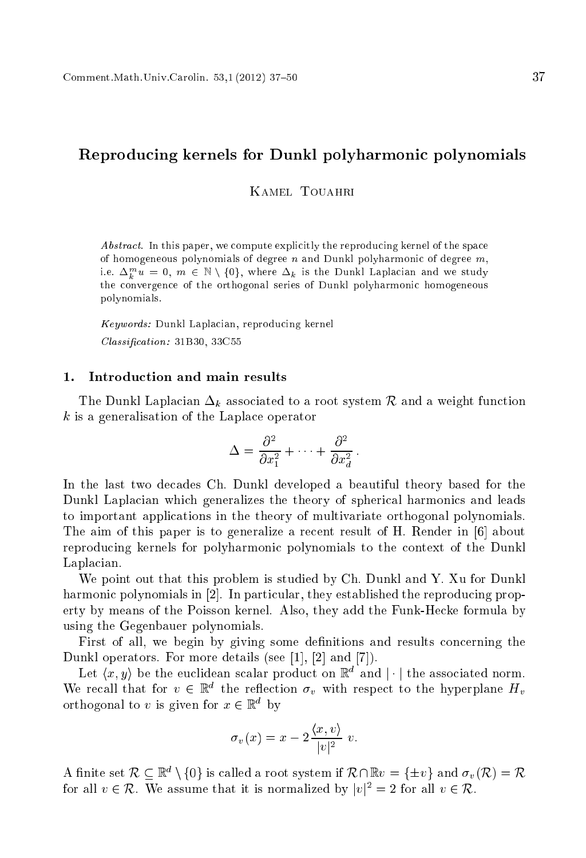# Reprodu
ing kernels for Dunkl polyharmoni polynomials

Kamel Touahri

Abstract. In this paper, we compute explicitly the reproducing kernel of the space of homogeneous polynomials of degree  $n$  and Dunkl polyharmonic of degree  $m$ , 1.e.  $\Delta_k^{\ldots} u \equiv 0, \ m \in \mathbb{N} \setminus \{0\},$  where  $\Delta_k$  is the Dunkl Laplacian and we study the onvergen
e of the orthogonal series of Dunkl polyharmoni homogeneous polynomials.

Keywords: Dunkl Laplacian, reproducing kernel  $Classification: 31B30, 33C55$ 

The Dunkl Laplacian  $\Delta_k$  associated to a root system R and a weight function <sup>k</sup> is a generalisation of the Lapla
e operator

$$
\Delta = \frac{\partial^2}{\partial x_1^2} + \dots + \frac{\partial^2}{\partial x_d^2}.
$$

In the last two decades Ch. Dunkl developed a beautiful theory based for the Dunkl Laplacian which generalizes the theory of spherical harmonics and leads to important appli
ations in the theory of multivariate orthogonal polynomials. The aim of this paper is to generalize a recent result of H. Render in [6] about reprodu
ing kernels for polyharmoni polynomials to the ontext of the Dunkl Laplacian.

We point out that this problem is studied by Ch. Dunkl and Y. Xu for Dunkl harmonic polynomials in [2]. In particular, they established the reproducing property by means of the Poisson kernel. Also, they add the Funk-He
ke formula by using the Gegenbauer polynomials.

First of all, we begin by giving some definitions and results concerning the Dunkl operators. For more details (see [1],  $[2]$  and  $[7]$ ).

Let  $(x, y)$  be the euchdean scalar product on  $\mathbb{R}^n$  and  $\|\cdot\|$  the associated norm. We recall that for  $v \in \mathbb{R}^+$  the reflection  $\sigma_v$  with respect to the hyperplane  $H_v$ orthogonal to v is given for  $x \in \mathbb{R}^+$  by

$$
\sigma_v(x) = x - 2 \frac{\langle x, v \rangle}{|v|^2} v.
$$

A finite set  $\kappa \subset \mathbb{R}$   $\setminus$  {0} is called a root system if  $\kappa \cap \mathbb{R}$  $v = \setminus \pm v$ } and  $\sigma_v(\kappa) = \kappa$ for all  $v \in \mathcal{R}$ . We assume that it is normalized by  $|v|^{-} = 2$  for all  $v \in \mathcal{R}$ .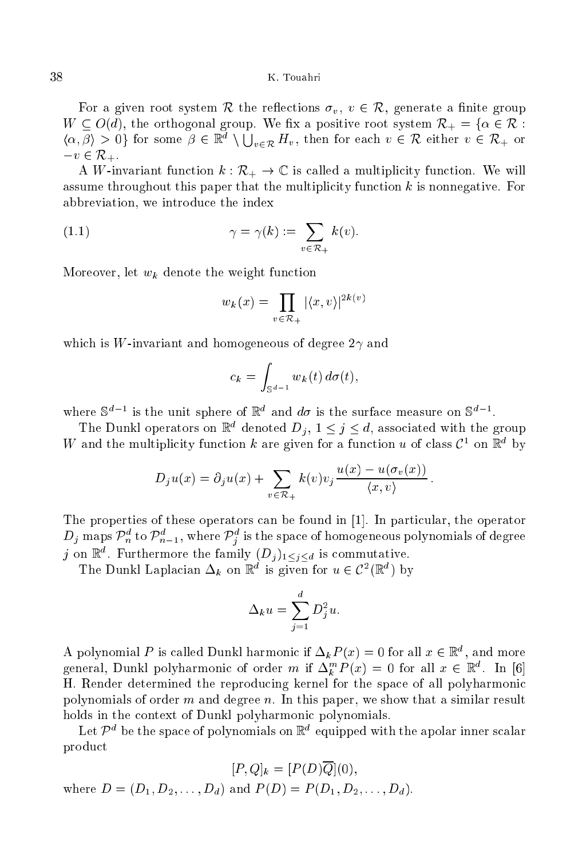For a given root system R the reflections  $\sigma_v, v \in \mathcal{R}$ , generate a finite group  $W = \Sigma$  with orthogonal group. We say a positive root system  $\Lambda_{\rm eff} = 1$  in Fig.  $\{\alpha,\beta\} > 0$  for some  $\beta \in \mathbb{R}^d \setminus \bigcup_{v \in \mathcal{R}} H_v$ , then for each  $v \in \mathcal{R}$  either  $v \in \mathcal{R}_+$  or  $-v \in \mathcal{R}_{+}.$ 

A W-invariant function  $k : \mathcal{R}_+ \to \mathbb{C}$  is called a multiplicity function. We will assume throughout this paper that the multiplicity function  $k$  is nonnegative. For abbreviation, we introdu
e the index

(1.1) 
$$
\gamma = \gamma(k) := \sum_{v \in \mathcal{R}_+} k(v).
$$

Moreover, let  $w_k$  denote the weight function

$$
w_k(x) = \prod_{v \in \mathcal{R}_+} |\langle x, v \rangle|^{2k(v)}
$$

which is W-invariant and homogeneous of degree  $2\gamma$  and

$$
c_k = \int_{\mathbb{S}^{d-1}} w_k(t) \, d\sigma(t),
$$

where  $\infty$  is the unit sphere of  $\mathbb R$  and  $u\sigma$  is the surface measure on  $\infty$ .

The Dunkl operators on  $\mathbb{R}^n$  denoted  $D_i$ ,  $1 \leq j \leq a$ , associated with the group W and the multiplicity function K are given for a function u of class  $C^{\dagger}$  on  $\mathbb{R}^{\dagger}$  by

$$
D_j u(x) = \partial_j u(x) + \sum_{v \in \mathcal{R}_+} k(v) v_j \frac{u(x) - u(\sigma_v(x))}{\langle x, v \rangle}.
$$

The properties of these operators can be found in  $[1]$ . In particular, the operator  $D_j$  maps  $\overline{\mathcal{P}_n}$  to  $\overline{\mathcal{P}_{n-1}}$ , where  $\overline{\mathcal{P}_j}$  is the space of homogeneous polynomials of degree *j* on  $\mathbb{R}^n$ . Furthermore the family  $\{D_j\}_1 \leq j \leq d$  is commutative.

The Dunki Laplacian  $\Delta_k$  on R is given for  $u \in C$  (Ref) by

$$
\Delta_k u = \sum_{j=1}^d D_j^2 u.
$$

A polynomial P is called Dunkl harmonic if  $\Delta_k P(x) = 0$  for all  $x \in \mathbb{R}^+$ , and more general, Dunki polyharmonic of order m if  $\Delta_k^{\alpha}$   $F(x) = 0$  for all  $x \in \mathbb{R}^n$ . In [6] H. Render determined the reprodu
ing kernel for the spa
e of all polyharmoni polynomials of order  $m$  and degree  $n$ . In this paper, we show that a similar result holds in the context of Dunkl polyharmonic polynomials.

Let  $P^+$  be the space of polynomials on  $\mathbb{R}^+$  equipped with the apolar inner scalar produ
t

[*P*, *Q*]<sub>k</sub> = [*P*(*D*)
$$
\overline{Q}
$$
](0),  
where *D* = (*D*<sub>1</sub>, *D*<sub>2</sub>,..., *D*<sub>d</sub>) and *P*(*D*) = *P*(*D*<sub>1</sub>, *D*<sub>2</sub>,..., *D*<sub>d</sub>).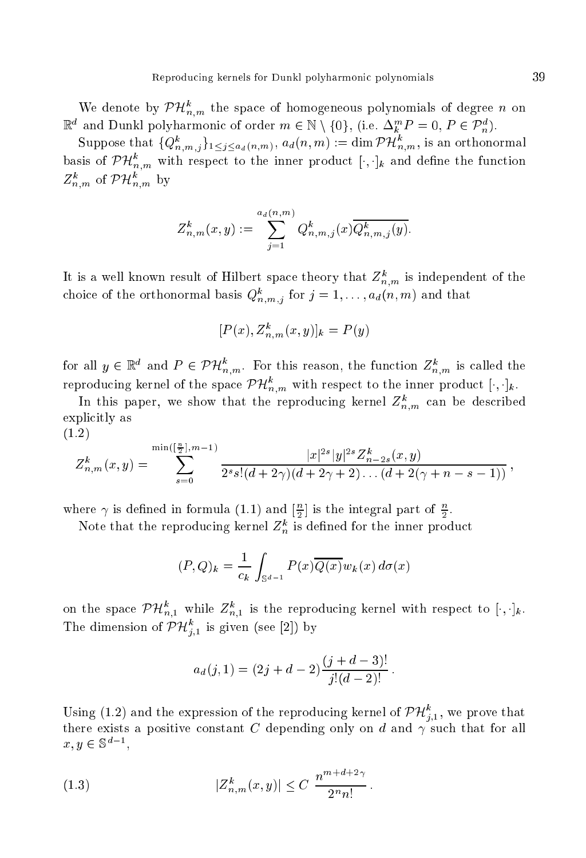We denote by  $PH_{n,m}^+$  the space of homogeneous polynomials of degree n on  $\mathbb{R}^n$  and Dunkl polynarmonic of order  $m \in \mathbb{N} \setminus \{0\}$ , (i.e.  $\Delta_k^m P = 0$ ,  $P \in \mathcal{P}_n^m$ ).

Suppose that  $\{Q_{n,m,j}^n\}_{1\leq j\leq a_d(n,m)},\, a_d(n,m):=\dim {\mathcal{PH}}_{n,m}^{\circ},$  is an orthonormal basis of  $PH_{n,m}^+$  with respect to the inner product  $[\cdot,\cdot]_k$  and define the function  $\mathcal{L}_{n,m}^{\infty}$  of  $\mathcal{PH}_{n,m}^{\infty}$  by

$$
Z_{n,m}^k(x,y) := \sum_{j=1}^{a_d(n,m)} Q_{n,m,j}^k(x) \overline{Q_{n,m,j}^k(y)}.
$$

It is a wen known result of Hilbert space theory that  $Z_{n,m}$  is independent of the choice of the orthonormal basis  $Q_{n,m,j}^{\ast}$  for  $j = 1, \ldots, a_d(n,m)$  and that

$$
[P(x), Z_{n,m}^k(x, y)]_k = P(y)
$$

for all  $y \in \mathbb{R}^n$  and  $P \in PH_{n,m}$ . For this reason, the function  $Z_{n,m}^*$  is called the reproducing kernel of the space  $P\,H_{n,m}^{\circ}$  with respect to the inner product  $[\cdot,\cdot]_k.$ 

In this paper, we show that the reproducing kernel  $Z_{n,m}^{\ast}$  can be described explicitly as (1.2)

$$
Z_{n,m}^k(x,y) = \sum_{s=0}^{\min\left(\left[\frac{n}{2}\right],m-1\right)} \frac{|x|^{2s}|y|^{2s}Z_{n-2s}^k(x,y)}{2^s s! (d+2\gamma)(d+2\gamma+2)\dots(d+2(\gamma+n-s-1))},
$$

where  $\gamma$  is defined in formula (1.1) and  $\frac{1}{2}$  is the integral part of  $\frac{1}{2}$ .

Note that the reproducing kernel  $Z_n^k$  is defined for the inner product

$$
(P,Q)_k = \frac{1}{c_k} \int_{\mathbb{S}^{d-1}} P(x) \overline{Q(x)} w_k(x) d\sigma(x)
$$

on the space  $PH_{n,1}^+$  while  $Z_{n,1}^+$  is the reproducing kernel with respect to  $[\cdot,\cdot]_k$ . The dimension of  $PH_{i,1}^{\circ}$  is given (see [2]) by

$$
a_d(j,1) = (2j+d-2)\frac{(j+d-3)!}{j!(d-2)!}.
$$

Using (1.2) and the expression of the reproducing kernel of  $PH_{i,1}^{\circ}$ , we prove that there exists a positive constant C depending only on d and  $\gamma$  such that for all  $x, y \in \mathcal{D}$ ,

(1.3) 
$$
|Z_{n,m}^k(x,y)| \leq C \frac{n^{m+d+2\gamma}}{2^nn!}.
$$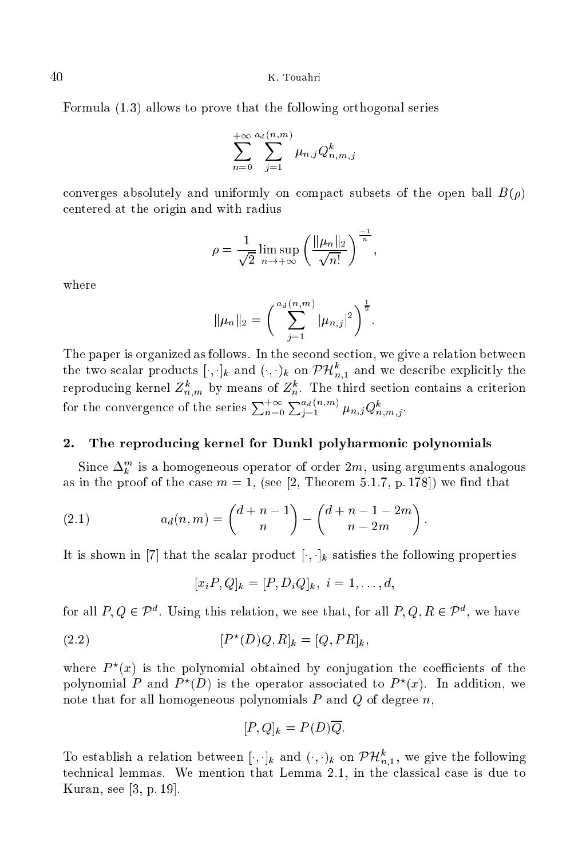Formula (1.3) allows to prove that the following orthogonal series

$$
\sum_{n=0}^{+\infty}\sum_{j=1}^{a_d(n,m)}\mu_{n,j}Q_{n,m,j}^k
$$

converges absolutely and uniformly on compact subsets of the open ball  $B(\rho)$ entered at the origin and with radius

$$
\rho = \frac{1}{\sqrt{2}} \limsup_{n \to +\infty} \left( \frac{\|\mu_n\|_2}{\sqrt{n!}} \right)^{\frac{-1}{n}}
$$

where

$$
\|\mu_n\|_2 = \left(\sum_{j=1}^{a_d(n,m)} |\mu_{n,j}|^2\right)^{\frac{1}{2}}.
$$

The paper is organized as follows. In the second section, we give a relation between the two scalar products  $[\cdot,\cdot]_k$  and  $(\cdot,\cdot)_k$  on  $P\mathcal{H}_{n,1}$  and we describe explicitly the reproducing kerner  $\sum_{n,m}^{\infty}$  by means or  $\sum_{n=0}^{\infty} \sum_{j=1}^{n}$  in third section contains a criterion for the convergence of the series  $\sum_{n=0}^{+\infty} \sum_{j=1}^{n} \mu_{n,j} Q_{n,m,j}^k$ .

### 2.The reprodu
ing kernel for Dunkl polyharmoni polynomials

Since  $\Delta_k^{\dots}$  is a nomogeneous operator of order 2m, using arguments analogous as in the proof of the case  $m = 1$ , (see [2, Theorem 5.1.7, p. 178]) we find that

(2.1) 
$$
a_d(n,m) = \binom{d+n-1}{n} - \binom{d+n-1-2m}{n-2m}.
$$

It is shown in [7] that the scalar product  $[\cdot, \cdot]_k$  satisfies the following properties

 $[x_iP,Q]_k = [P, D_iQ]_k, i = 1, \ldots, d,$ 

for all  $P, Q \in P^+$ . Using this relation, we see that, for all  $P, Q, R \in P^+$ , we have

(2.2) 
$$
[P^*(D)Q, R]_k = [Q, PR]_k,
$$

where  $P^{\sim}(x)$  is the polynomial obtained by conjugation the coefficients of the polynomial P and  $P^{\circ}(D)$  is the operator associated to  $P^{\circ}(x)$ . In addition, we note that for all homogeneous polynomials  $P$  and  $Q$  of degree  $n$ ,

$$
[P,Q]_k = P(D)\overline{Q}.
$$

To establish a relation between  $[\cdot, \cdot]_k$  and  $(\cdot, \cdot)_k$  on  $\mathcal{PH}_{n,1}$ , we give the following technical lemmas. We mention that Lemma 2.1, in the classical case is due to Kuran, see  $[3, p. 19]$ .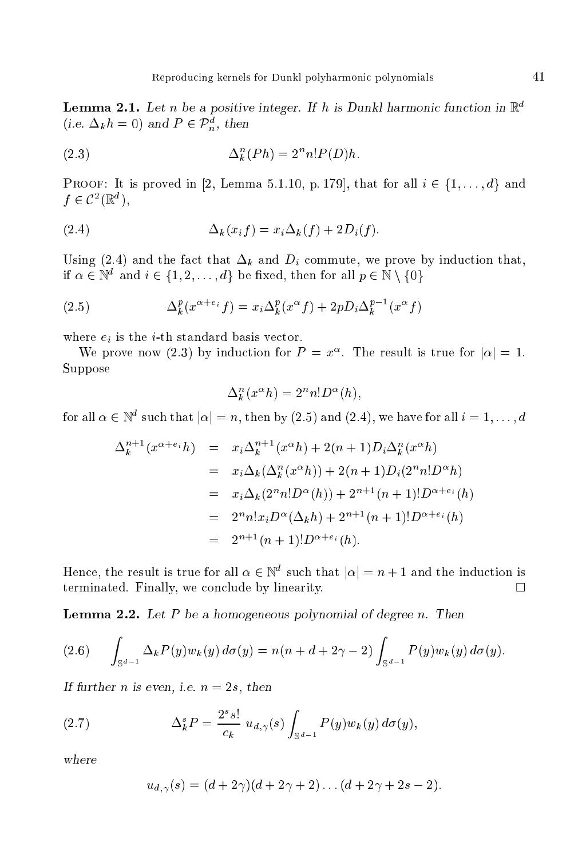**Lemma 2.1.** Let n be a positive integer. If h is Dunkl harmonic function in  $\mathbb{R}^n$ (i.e.  $\Delta_k n = 0$ ) and  $P \in P_n$ , then

(2.3) 
$$
\Delta_k^n(Ph) = 2^n n! P(D)h.
$$

PROOF: It is proved in [2, Lemma 5.1.10, p. 179], that for all  $i \in \{1, \ldots, d\}$  and  $J \in C^{-1}(\mathbb{R}^n)$ ,

$$
(2.4) \qquad \qquad \Delta_k(x_i f) = x_i \Delta_k(f) + 2D_i(f).
$$

Using (2.4) and the fact that  $\Delta_k$  and  $D_i$  commute, we prove by induction that, If  $\alpha \in \mathbb{N}^+$  and  $i \in \{1, 2, \ldots, a\}$  be fixed, then for all  $p \in \mathbb{N} \setminus \{0\}$ 

(2.5) 
$$
\Delta_k^p(x^{\alpha+e_i}f) = x_i \Delta_k^p(x^{\alpha}f) + 2pD_i \Delta_k^{p-1}(x^{\alpha}f)
$$

where  $e_i$  is the *i*-th standard basis vector.

We prove now (2.3) by induction for  $P = x$ . The result is true for  $|\alpha| = 1$ . Suppose

$$
\Delta_k^n(x^{\alpha}h) = 2^n n! D^{\alpha}(h),
$$

for all  $\alpha \in \mathbb{N}^+$  such that  $|\alpha| = n,$  then by (2.5) and (2.4), we have for all  $i = 1, \ldots, d$ 

$$
\Delta_k^{n+1}(x^{\alpha+e_i}h) = x_i \Delta_k^{n+1}(x^{\alpha}h) + 2(n+1)D_i \Delta_k^{n}(x^{\alpha}h)
$$
  
=  $x_i \Delta_k(\Delta_k^{n}(x^{\alpha}h)) + 2(n+1)D_i(2^nn!D^{\alpha}h)$   
=  $x_i \Delta_k(2^nn!D^{\alpha}(h)) + 2^{n+1}(n+1)!D^{\alpha+e_i}(h)$   
=  $2^nn!x_iD^{\alpha}(\Delta_kh) + 2^{n+1}(n+1)!D^{\alpha+e_i}(h)$   
=  $2^{n+1}(n+1)!D^{\alpha+e_i}(h)$ .

Hence, the result is true for all  $\alpha \in \mathbb{N}^+$  such that  $|\alpha| = n + 1$  and the induction is terminated. Finally, we on
lude by linearity.

 $\mathbb{R}$  . Let  $\mathbb{R}$  be a homogeneous polynomial of degree n. Then  $\mathbb{R}$ 

$$
(2.6) \qquad \int_{\mathbb{S}^{d-1}} \Delta_k P(y) w_k(y) \, d\sigma(y) = n(n+d+2\gamma-2) \int_{\mathbb{S}^{d-1}} P(y) w_k(y) \, d\sigma(y).
$$

If further <sup>n</sup> is even, i.e. <sup>n</sup> = 2s, then

(2.7) 
$$
\Delta_k^s P = \frac{2^s s!}{c_k} u_{d,\gamma}(s) \int_{\mathbb{S}^{d-1}} P(y) w_k(y) d\sigma(y),
$$

$$
u_{d,\gamma}(s) = (d + 2\gamma)(d + 2\gamma + 2) \dots (d + 2\gamma + 2s - 2).
$$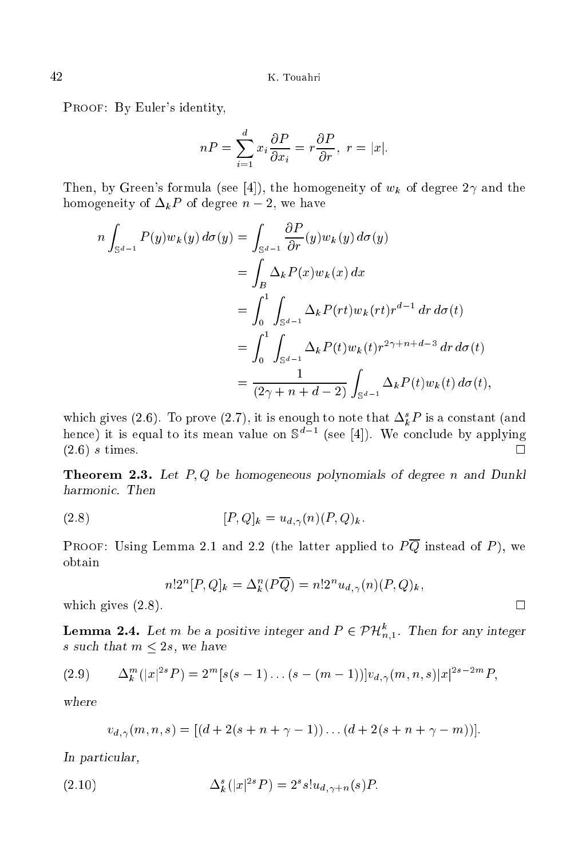PROOF: By Euler's identity,

$$
nP = \sum_{i=1}^{d} x_i \frac{\partial P}{\partial x_i} = r \frac{\partial P}{\partial r}, \ r = |x|.
$$

Then, by Green's formula (see [4]), the homogeneity of  $w_k$  of degree  $2\gamma$  and the homogeneity of  $\Delta_k P$  of degree  $n-2$ , we have

$$
n \int_{\mathbb{S}^{d-1}} P(y) w_k(y) d\sigma(y) = \int_{\mathbb{S}^{d-1}} \frac{\partial P}{\partial r}(y) w_k(y) d\sigma(y)
$$
  
\n
$$
= \int_B \Delta_k P(x) w_k(x) dx
$$
  
\n
$$
= \int_0^1 \int_{\mathbb{S}^{d-1}} \Delta_k P(rt) w_k(rt) r^{d-1} dr d\sigma(t)
$$
  
\n
$$
= \int_0^1 \int_{\mathbb{S}^{d-1}} \Delta_k P(t) w_k(t) r^{2\gamma+n+d-3} dr d\sigma(t)
$$
  
\n
$$
= \frac{1}{(2\gamma+n+d-2)} \int_{\mathbb{S}^{d-1}} \Delta_k P(t) w_k(t) d\sigma(t),
$$

which gives (2.6). To prove (2.7), it is enough to note that  $\Delta_k^- F$  is a constant (and  $\mu$ ence) it is equal to its mean value on  $\beta^-$  . (see [4]). We conclude by applying  $\Box$  $(2.6, 6)$  s times. The contract of the contract of the contract of the contract of the contract of the contract of the contract of the contract of the contract of the contract of the contract of the contract of the contr

Theorem 2.3. Let  $P$  be homogeneous polynomials of degree n and Dunkle n and Dunkle n and Dunkle n and Dunkle n and Dunkle n and Dunkle n and Dunkle n and Dunkle n and Dunkle n and Dunkle n and Dunkle n and Dunkle n and D

$$
[P,Q]_k = u_{d,\gamma}(n)(P,Q)_k.
$$

PROOF: Using Lemma 2.1 and 2.2 (the latter applied to  $P\overline{Q}$  instead of P), we obtain

$$
n!2^{n}[P,Q]_{k} = \Delta_{k}^{n}(P\overline{Q}) = n!2^{n}u_{d,\gamma}(n)(P,Q)_{k},
$$

which gives  $(2.8)$ .

**Lemma 2.4.** Let m be a positive integer and  $P \in PH_{n,1}$ . Then for any integer s such that  $m \leq 2s$ , we have

$$
(2.9) \qquad \Delta_k^m(|x|^{2s}P) = 2^m[s(s-1)\dots(s-(m-1))]v_{d,\gamma}(m,n,s)|x|^{2s-2m}P,
$$

$$
v_{d,\gamma}(m, n, s) = [(d + 2(s + n + \gamma - 1)) \dots (d + 2(s + n + \gamma - m))].
$$

In parti
ular,

(2.10) 
$$
\Delta_k^s(|x|^{2s}P) = 2^s s! u_{d,\gamma+n}(s)P.
$$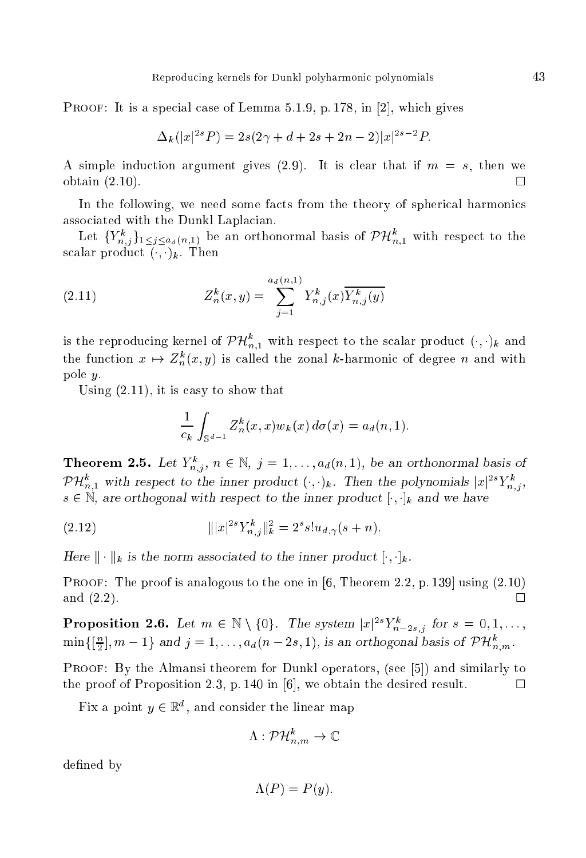**PROOF:** It is a special case of Lemma 5.1.9, p. 178, in [2], which gives

$$
\Delta_k(|x|^{2s}P) = 2s(2\gamma + d + 2s + 2n - 2)|x|^{2s-2}P
$$

A simple induction argument gives (2.9). It is clear that if  $m = s$ , then we obtain (2.10).  $\Box$ 

In the following, we need some facts from the theory of spherical harmonics associated with the Dunkl Laplacian.

Let  $\{Y_{n,j}^n\}_{1\leq j\leq a_d(n,1)}$  be an orthonormal basis of  $PH_{n,1}^{\circ}$  with respect to the scalar product  $( \cdot, \cdot)_k$ . Then

(2.11) 
$$
Z_n^k(x, y) = \sum_{j=1}^{a_d(n, 1)} Y_{n,j}^k(x) \overline{Y_{n,j}^k(y)}
$$

is the reproducing kernel of  $PH_{n,1}^+$  with respect to the scalar product  $(\cdot,\cdot)_k$  and the function  $x \mapsto Z_n^*(x, y)$  is called the zonal k-harmonic of degree n and with pole y.

Using (2.11), it is easy to show that

$$
\frac{1}{c_k} \int_{\mathbb{S}^{d-1}} Z_n^k(x, x) w_k(x) d\sigma(x) = a_d(n, 1).
$$

**Theorem 2.5.** Let  $Y_{n,j}$ ,  $n \in \mathbb{N}$ ,  $j = 1, \ldots, a_d(n,1)$ , be an orthonormal basis of  $P\#_{n,1}^{\infty}$  with respect to the inner product  $(\cdot, \cdot)_k$ . Then the polynomials  $|x|^{2s}Y_{n,j}^{\infty}$  $s \in \mathbb{N}$ , are orthogonal with respect to the inner product  $[\cdot, \cdot]_k$  and we have

(2.12) 
$$
|||x|^{2s}Y_{n,j}^k||_k^2 = 2^s s! u_{d,\gamma}(s+n).
$$

is the inner the norm associated to the inner produced to the inner  $\mu$ 

PROOF: The proof is analogous to the one in  $[6,$  Theorem 2.2, p. 139 using  $(2.10)$ and (2.2).  $\Box$ 

**Proposition 2.6.** Let  $m \in \mathbb{N} \setminus \{0\}$ . The system  $|x|^{-1}$   $Y_{n-2s,j}$  for  $s = 0,1,\ldots$ ,  $\min\{\lvert \frac{n}{2}\rvert, m-1\}$  and  $j=1,\ldots,a_d(n-2s,1),$  is an orthogonal basis of  $PH_{n,m}$ 

**PROOF:** By the Almansi theorem for Dunkl operators, (see  $[5]$ ) and similarly to the proof of Proposition 2.3, p. 140 in [6], we obtain the desired result.  $\Box$ 

Fix a point  $y \in \mathbb{R}^n$ , and consider the linear map

$$
\Lambda: \mathcal{PH}_{n,m}^k \to \mathbb{C}
$$

defined by

$$
\Lambda(P) = P(y).
$$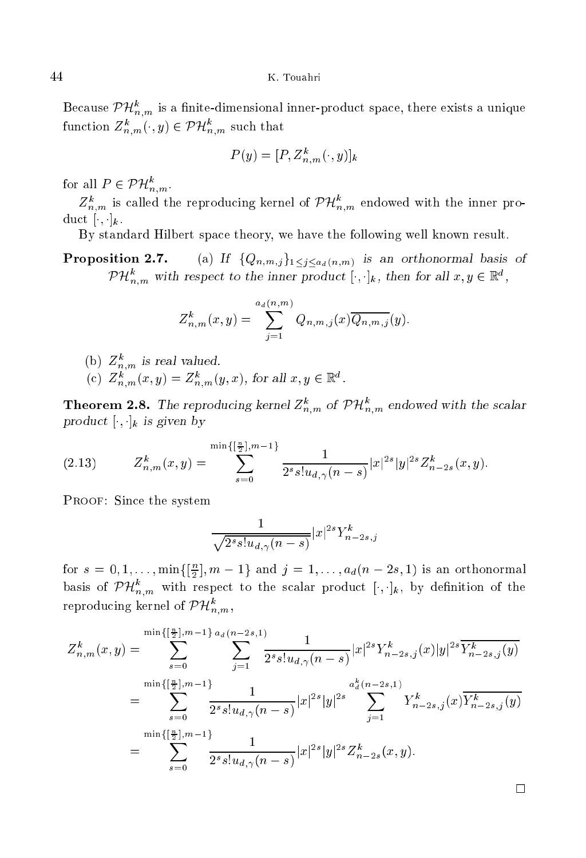Because  $PH_{n,m}^{\circ}$  is a finite-dimensional inner-product space, there exists a unique function  $Z_{n,m}^{\ast}(\cdot,y)\in {\cal PH}_{n,m}^{\cdot}$  such that

$$
P(y) = [P, Z_{n,m}^k(\cdot, y)]_k
$$

for all  $P \in PH_{n,m}$ .

 $\mathcal{L}_{n,m}^n$  is called the reproducing kernel of  $\mathcal{VH}_{n,m}^n$  endowed with the inner product  $[\cdot, \cdot]_k$ .

By standard Hilbert spa
e theory, we have the following well known result.

Proposition 2.7. (a) If  $\{Q_{n,m,j}\}_{1\leq j\leq a_d(n,m)}$  is an orthonormal basis of  $P H_{n,m}^{\circ}$  with respect to the inner product  $[\cdot,\cdot]_k$ , then for all  $x,y\in\mathbb{R}^{\circ}$ ,

$$
Z_{n,m}^k(x,y) = \sum_{j=1}^{a_d(n,m)} Q_{n,m,j}(x) \overline{Q_{n,m,j}}(y).
$$

(b)  $\mathcal{L}_{n,m}$  is real valued.

(c)  $\mathcal{L}_{n,m}(x,y) = \mathcal{L}_{n,m}(y,x)$ , for all  $x,y \in \mathbb{R}^n$ .

**Theorem 2.8.** The reproducing kernel  $Z_{n,m}^n$  of  $PH_{n,m}^n$  endowed with the scalar  $\mathbf{r}$  . The contract of  $\mathbf{r}$  is the contract of  $\mathbf{r}$ 

$$
(2.13) \tZ_{n,m}^k(x,y) = \sum_{s=0}^{\min\{\left[\frac{n}{2}\right],m-1\}} \frac{1}{2^s s! u_{d,\gamma}(n-s)} |x|^{2s} |y|^{2s} Z_{n-2s}^k(x,y).
$$

Proof: Sin
e the system

$$
\frac{1}{\sqrt{2^s s! u_{d,\gamma}(n-s)}} |x|^{2s} Y_{n-2s,j}^k
$$

for  $s = 0, 1, \ldots, \min\{\lvert \frac{1}{2} \rvert, m-1\}$  and  $j = 1, \ldots, d_d(n - 2s, 1)$  is an orthonormal basis of  $PH_{n,m}^-$  with respect to the scalar product  $[\cdot,\cdot]_k$ , by definition of the reproducing kernel of  $\;$   $\mu_{n,m}^{\ldots},$ 

$$
Z_{n,m}^{k}(x,y) = \sum_{s=0}^{\min\{\left[\frac{n}{2}\right],m-1\}} \sum_{a_d(n-2s,1)}^{a_d(n-2s,1)} \frac{1}{2^{s}s!u_{d,\gamma}(n-s)} |x|^{2s} Y_{n-2s,j}^{k}(x)|y|^{2s} \overline{Y_{n-2s,j}^{k}(y)}
$$
  

$$
= \sum_{s=0}^{\min\{\left[\frac{n}{2}\right],m-1\}} \frac{1}{2^{s}s!u_{d,\gamma}(n-s)} |x|^{2s} |y|^{2s} \sum_{j=1}^{a_d^{k}(n-2s,1)} Y_{n-2s,j}^{k}(x) \overline{Y_{n-2s,j}^{k}(y)}
$$
  

$$
= \sum_{s=0}^{\min\{\left[\frac{n}{2}\right],m-1\}} \frac{1}{2^{s}s!u_{d,\gamma}(n-s)} |x|^{2s} |y|^{2s} Z_{n-2s}^{k}(x,y).
$$

 $\Box$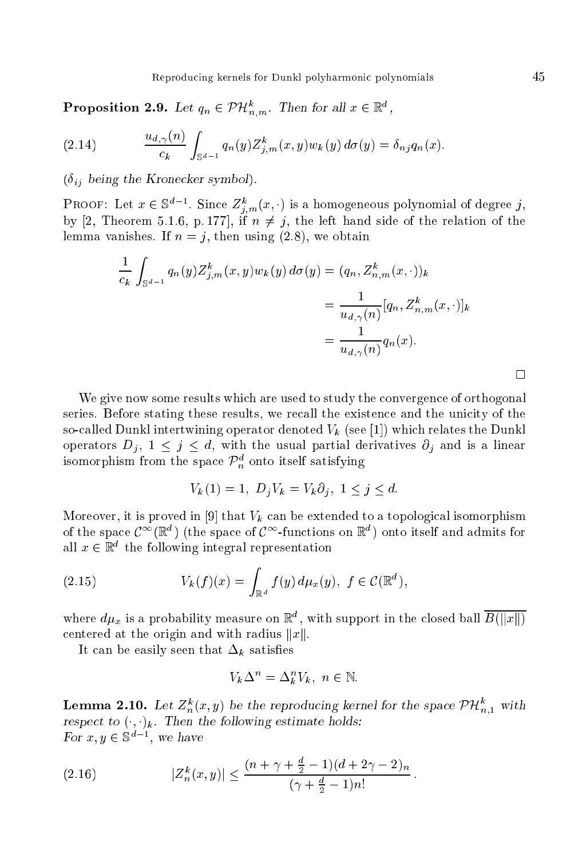**Proposition 2.9.** Let  $q_n \in \mathcal{PH}_{n,m}$ . Then for all  $x \in \mathbb{R}^n$ ,

(2.14) 
$$
\frac{u_{d,\gamma}(n)}{c_k} \int_{\mathbb{S}^{d-1}} q_n(y) Z_{j,m}^k(x,y) w_k(y) d\sigma(y) = \delta_{nj} q_n(x).
$$

 $(\delta_{ij}$  being the Kronecker symbol).

**PROOF:** Let  $x \in \mathcal{S}^+$ . Since  $Z_{i,m}(x, \cdot)$  is a nomogeneous polynomial of degree j, by [2, Theorem 5.1.6, p. 177], if  $n \neq j$ , the left hand side of the relation of the lemma vanishes. If  $n = j$ , then using  $(2.8)$ , we obtain

$$
\frac{1}{c_k} \int_{\mathbb{S}^{d-1}} q_n(y) Z_{j,m}^k(x, y) w_k(y) d\sigma(y) = (q_n, Z_{n,m}^k(x, \cdot))_k
$$

$$
= \frac{1}{u_{d,\gamma}(n)} [q_n, Z_{n,m}^k(x, \cdot)]_k
$$

$$
= \frac{1}{u_{d,\gamma}(n)} q_n(x).
$$

We give now some results which are used to study the convergence of orthogonal series. Before stating these results, we recall the existence and the unicity of the so-called Dunkl intertwining operator denoted  $V_k$  (see [1]) which relates the Dunkl operators  $D_j$ ,  $1 \leq j \leq d$ , with the usual partial derivatives  $\partial_j$  and is a linear isomorphism from the space  $\mathcal{P}_n^-$  onto itself satisfying

$$
V_k(1) = 1, D_j V_k = V_k \partial_j, 1 \le j \le d.
$$

Moreover, it is proved in [9] that  $V_k$  can be extended to a topological isomorphism of the space  $C^+({\mathbb R}^+)$  (the space of  $C^-$ -functions on  ${\mathbb R}^+)$  onto itself and admits for all  $x \in \mathbb{R}^+$  the following integral representation

(2.15) 
$$
V_k(f)(x) = \int_{\mathbb{R}^d} f(y) \, d\mu_x(y), \ f \in \mathcal{C}(\mathbb{R}^d),
$$

where  $a\mu_x$  is a probability measure on  $\mathbb{R}^n$ , with support in the closed ball  $B(||x||)$ centered at the origin and with radius  $||x||$ .

It can be easily seen that  $\Delta_k$  satisfies

$$
V_k \Delta^n = \Delta_k^n V_k, \ n \in \mathbb{N}.
$$

**Lemma 2.10.** Let  $Z_n^m(x, y)$  be the reproducing kernel for the space  $PH_{n,1}^n$  with respe
t to (; )k . Then the following estimate holds:  $\text{for } x, y \in \mathcal{D}$ , we have

(2.16) 
$$
|Z_n^k(x,y)| \le \frac{(n+\gamma+\frac{d}{2}-1)(d+2\gamma-2)_n}{(\gamma+\frac{d}{2}-1)n!}.
$$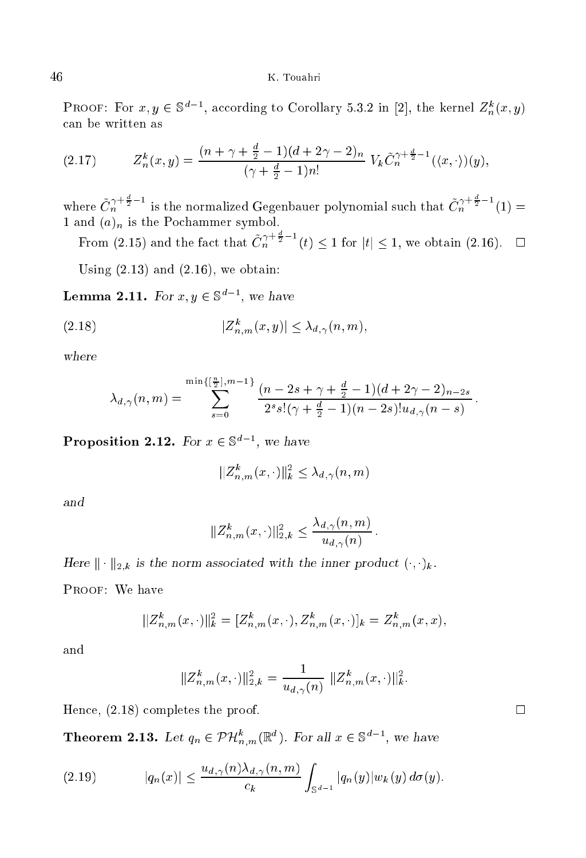**PROOF:** For  $x, y \in \mathbb{S}^n$ , according to Corollary 5.3.2 in [2], the kernel  $Z_n^m(x, y)$ an be written as

(2.17) 
$$
Z_n^k(x,y) = \frac{(n+\gamma+\frac{d}{2}-1)(d+2\gamma-2)_n}{(\gamma+\frac{d}{2}-1)n!} V_k \tilde{C}_n^{\gamma+\frac{d}{2}-1}(\langle x, \cdot \rangle)(y),
$$

where  $\tilde{C}_n^{\gamma + \frac{1}{2} - 1}$  is the normalized Gegenbauer polynomial such that  $\tilde{C}_n^{\gamma + \frac{1}{2} - 1}(1)$ 

From (2.15) and the fact that  $\tilde{C}_n^{\gamma+\frac{d}{2}-1}(t) < 1$  for  $|t| < 1$ , we obtain (2.16).  $\Box$ 

Using  $(2.13)$  and  $(2.16)$ , we obtain:

**Lemma 2.11.** For  $x, y \in \mathcal{S}^-$ , we have

$$
(2.18) \t\t\t |Z_{n,m}^k(x,y)| \leq \lambda_{d,\gamma}(n,m),
$$

 $\cdots$  where  $\cdots$ 

$$
\lambda_{d,\gamma}(n,m) = \sum_{s=0}^{\min\{\left[\frac{n}{2}\right],m-1\}} \frac{(n-2s+\gamma+\frac{d}{2}-1)(d+2\gamma-2)_{n-2s}}{2^s s!(\gamma+\frac{d}{2}-1)(n-2s)! u_{d,\gamma}(n-s)}
$$

**Proposition 2.12.** For  $x \in \mathbb{S}^n$ , we have

$$
||Z_{n,m}^k(x,\cdot)||_k^2 \leq \lambda_{d,\gamma}(n,m)
$$

$$
||Z_{n,m}^k(x,\cdot)||_{2,k}^2 \le \frac{\lambda_{d,\gamma}(n,m)}{u_{d,\gamma}(n)}
$$

is the kind of the state association to the international product of  $\mathcal{F}_k$  . The international  $\mathcal{F}_k$  .

Proof: We have

$$
||Z_{n,m}^k(x,\cdot)||_k^2 = [Z_{n,m}^k(x,\cdot), Z_{n,m}^k(x,\cdot)]_k = Z_{n,m}^k(x,x),
$$

and

$$
||Z_{n,m}^k(x,\cdot)||_{2,k}^2 = \frac{1}{u_{d,\gamma}(n)} ||Z_{n,m}^k(x,\cdot)||_k^2.
$$

Hence,  $(2.18)$  completes the proof.

**Theorem 2.13.** Let  $q_n \in \mathcal{PH}_{n,m}^{\cdot}(\mathbb{R}^n)$ . For all  $x \in \mathbb{S}^n$ , we have

$$
(2.19) \t |q_n(x)| \leq \frac{u_{d,\gamma}(n)\lambda_{d,\gamma}(n,m)}{c_k} \int_{\mathbb{S}^{d-1}} |q_n(y)| w_k(y) d\sigma(y).
$$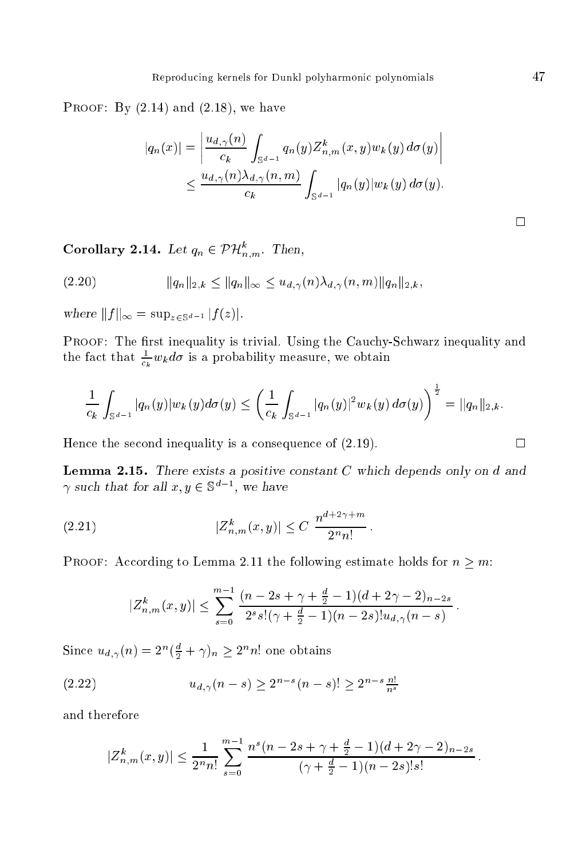PROOF: By  $(2.14)$  and  $(2.18)$ , we have

$$
|q_n(x)| = \left| \frac{u_{d,\gamma}(n)}{c_k} \int_{\mathbb{S}^{d-1}} q_n(y) Z_{n,m}^k(x, y) w_k(y) d\sigma(y) \right|
$$
  

$$
\leq \frac{u_{d,\gamma}(n) \lambda_{d,\gamma}(n, m)}{c_k} \int_{\mathbb{S}^{d-1}} |q_n(y)| w_k(y) d\sigma(y).
$$

Corollary 2.14. Let  $q_n \in \mathcal{PH}_{n,m}^{\sim}$  Then,

(2.20) 
$$
||q_n||_{2,k} \le ||q_n||_{\infty} \le u_{d,\gamma}(n)\lambda_{d,\gamma}(n,m)||q_n||_{2,k},
$$

where kf k1 <sup>=</sup> supz2Sd1 jf (z)j.

PROOF: The first inequality is trivial. Using the Cauchy-Schwarz inequality and the fact that  $\frac{1}{c_k} w_k a \sigma$  is a probability measure, we obtain

$$
\frac{1}{c_k} \int_{\mathbb{S}^{d-1}} |q_n(y)| w_k(y) d\sigma(y) \le \left( \frac{1}{c_k} \int_{\mathbb{S}^{d-1}} |q_n(y)|^2 w_k(y) d\sigma(y) \right)^{\frac{1}{2}} = ||q_n||_{2,k}.
$$

Hence the second inequality is a consequence of  $(2.19)$ .

Lemma 2.15. There exists <sup>a</sup> positive onstant <sup>C</sup> whi
h depends only on <sup>d</sup> and  $\gamma$  such that for all  $x,y\in\mathcal{S}$  , we have

(2.21) 
$$
|Z_{n,m}^k(x,y)| \leq C \frac{n^{d+2\gamma+m}}{2^nn!}.
$$

PROOF: According to Lemma 2.11 the following estimate holds for  $n \geq m$ :

$$
|Z_{n,m}^k(x,y)| \leq \sum_{s=0}^{m-1} \frac{(n-2s+\gamma+\frac{d}{2}-1)(d+2\gamma-2)_{n-2s}}{2^s s! (\gamma+\frac{d}{2}-1)(n-2s)! u_{d,\gamma}(n-s)}.
$$

Since  $u_{d,\gamma}(n) = 2\gamma(\frac{1}{2} + \gamma)_n \geq 2\gamma n$  one obtains

(2.22) 
$$
u_{d,\gamma}(n-s) \geq 2^{n-s}(n-s)! \geq 2^{n-s} \frac{n!}{n^s}
$$

and therefore

$$
|Z_{n,m}^k(x,y)| \leq \frac{1}{2^n n!} \sum_{s=0}^{m-1} \frac{n^s (n-2s+\gamma+\frac{d}{2}-1)(d+2\gamma-2)_{n-2s}}{(\gamma+\frac{d}{2}-1)(n-2s)!s!}.
$$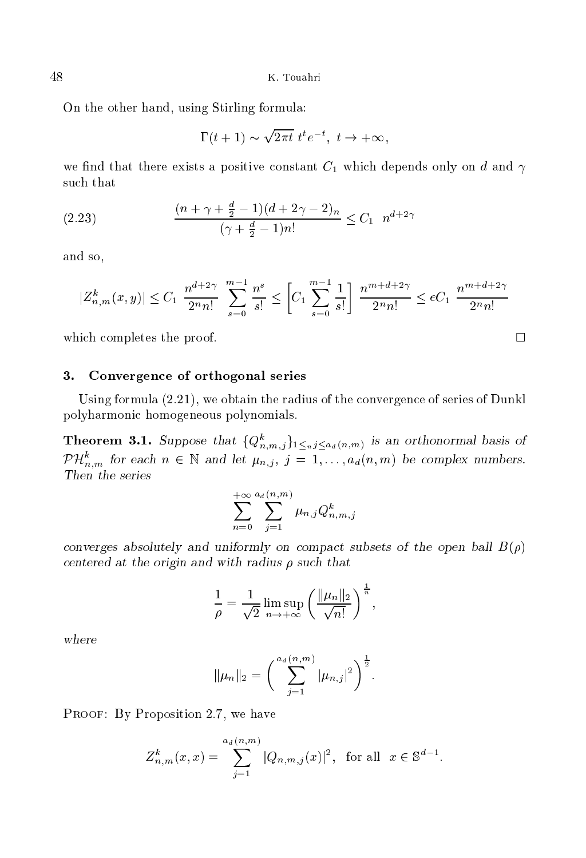On the other hand, using Stirling formula:

$$
\Gamma(t+1) \sim \sqrt{2\pi t} \ t^t e^{-t}, \ t \to +\infty,
$$

we find that there exists a positive constant  $C_1$  which depends only on d and  $\gamma$ such that

(2.23) 
$$
\frac{(n+\gamma+\frac{d}{2}-1)(d+2\gamma-2)_n}{(\gamma+\frac{d}{2}-1)n!} \leq C_1 \quad n^{d+2\gamma}
$$

and so,

$$
|Z_{n,m}^k(x,y)| \le C_1 \frac{n^{d+2\gamma}}{2^n n!} \sum_{s=0}^{m-1} \frac{n^s}{s!} \le \left[C_1 \sum_{s=0}^{m-1} \frac{1}{s!} \right] \frac{n^{m+d+2\gamma}}{2^n n!} \le eC_1 \frac{n^{m+d+2\gamma}}{2^n n!}
$$

which completes the proof.  $\square$ 

### 3.Convergen
e of orthogonal series

Using formula  $(2.21)$ , we obtain the radius of the convergence of series of Dunkl polyharmoni homogeneous polynomials.

**Theorem 3.1.** Suppose that  $\{Q_{n,m,j}\}_{1\leq n,j\leq a_d(n,m)}$  is an orthonormal basis of  $P\,\mathcal{H}_{n,m}^{\sim}$  for each  $n\,\in\,\mathbb{N}$  and let  $\mu_{n,j},\ j=1,\ldots,a_d(n,m)$  be complex numbers.

$$
\sum_{n=0}^{+\infty} \sum_{j=1}^{a_d(n,m)} \mu_{n,j} Q_{n,m,j}^k
$$

 $\sim$  subsets absolutely and uniformly on the open ball B() and one of the open ball  $\sim$ entered at the origin and with radius su
h that

$$
\frac{1}{\rho} = \frac{1}{\sqrt{2}} \limsup_{n \to +\infty} \left( \frac{\|\mu_n\|_2}{\sqrt{n!}} \right)^{\frac{1}{n}},
$$

$$
\|\mu_n\|_2 = \left(\sum_{j=1}^{a_d(n,m)} |\mu_{n,j}|^2\right)^{\frac{1}{2}}.
$$

PROOF: By Proposition 2.7, we have

$$
Z_{n,m}^k(x,x) = \sum_{j=1}^{a_d(n,m)} |Q_{n,m,j}(x)|^2, \text{ for all } x \in \mathbb{S}^{d-1}.
$$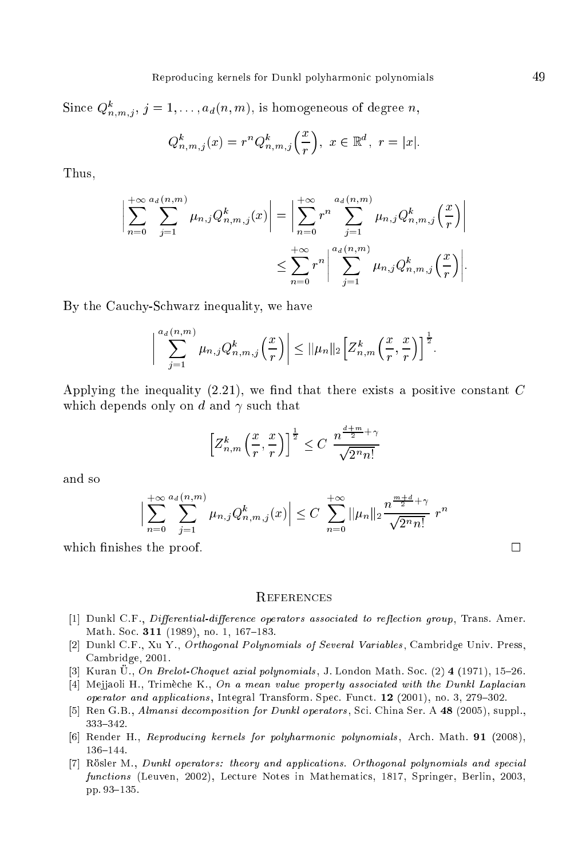Since  $Q_{n,m,j}$ ,  $j = 1, \ldots, d_d(n,m)$ , is nomogeneous of degree n,

$$
Q_{n,m,j}^k(x) = r^n Q_{n,m,j}^k\left(\frac{x}{r}\right), \ x \in \mathbb{R}^d, \ r = |x|.
$$

Thus,

$$
\left| \sum_{n=0}^{+\infty} \sum_{j=1}^{a_d(n,m)} \mu_{n,j} Q_{n,m,j}^k(x) \right| = \left| \sum_{n=0}^{+\infty} r^n \sum_{j=1}^{a_d(n,m)} \mu_{n,j} Q_{n,m,j}^k\left(\frac{x}{r}\right) \right|
$$
  

$$
\leq \sum_{n=0}^{+\infty} r^n \left| \sum_{j=1}^{a_d(n,m)} \mu_{n,j} Q_{n,m,j}^k\left(\frac{x}{r}\right) \right|.
$$

By the Cauchy-Schwarz inequality, we have

$$
\left|\sum_{j=1}^{a_d(n,m)}\mu_{n,j}Q_{n,m,j}^k\left(\frac{x}{r}\right)\right|\leq \|\mu_n\|_2\left[\overline{Z}_{n,m}^k\left(\frac{x}{r},\frac{x}{r}\right)\right]^{\frac{1}{2}}.
$$

Applying the inequality  $(2.21)$ , we find that there exists a positive constant C which depends only on d and  $\gamma$  such that

$$
\left[Z_{n,m}^k\left(\frac{x}{r},\frac{x}{r}\right)\right]^{\frac{1}{2}} \leq C \frac{n^{\frac{d+m}{2}+\gamma}}{\sqrt{2^n n!}}
$$

$$
\Big|\sum_{n=0}^{+\infty} \sum_{j=1}^{a_d(n,m)} \mu_{n,j} Q_{n,m,j}^k(x)\Big| \le C \sum_{n=0}^{+\infty} \|\mu_n\|_2 \frac{n^{\frac{m+d}{2}+\gamma}}{\sqrt{2^n n!}} r^n
$$

which finishes the proof.

## **REFERENCES**

- [1] Dunkl C.F., *Differential-difference operators associated to reflection group*, Trans. Amer. Math. Soc. 311 (1989), no. 1, 167-183.
- [2] Dunkl C.F., Xu Y., Orthogonal Polynomials of Several Variables, Cambridge Univ. Press, Cambridge, 2001.
- [3] Kuran U., On Brelot-Choquet axial polynomials, J. London Math. Soc.  $(2)$  4 (1971), 15-26.
- [4] Mejjaoli H., Trimèche K., On a mean value property associated with the Dunkl Laplacian operator and applications, Integral Transform. Spec. Funct.  $12$  (2001), no. 3, 279-302.
- [5] Ren G.B., Almansi decomposition for Dunkl operators, Sci. China Ser. A 48 (2005), suppl., 333-342.
- [6] Render H., Reproducing kernels for polyharmonic polynomials, Arch. Math. 91 (2008),  $136 - 144.$
- [7] Rösler M., Dunkl operators: theory and applications. Orthogonal polynomials and special functions (Leuven, 2002), Lecture Notes in Mathematics, 1817, Springer, Berlin, 2003, pp. 93-135.

 $\Box$